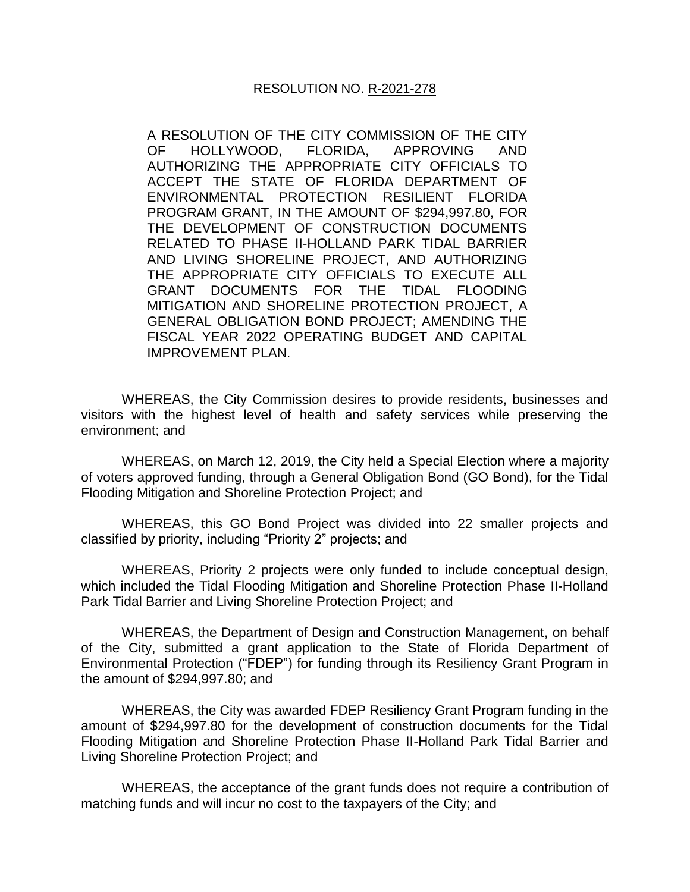A RESOLUTION OF THE CITY COMMISSION OF THE CITY OF HOLLYWOOD, FLORIDA, APPROVING AND AUTHORIZING THE APPROPRIATE CITY OFFICIALS TO ACCEPT THE STATE OF FLORIDA DEPARTMENT OF ENVIRONMENTAL PROTECTION RESILIENT FLORIDA PROGRAM GRANT, IN THE AMOUNT OF \$294,997.80, FOR THE DEVELOPMENT OF CONSTRUCTION DOCUMENTS RELATED TO PHASE II-HOLLAND PARK TIDAL BARRIER AND LIVING SHORELINE PROJECT, AND AUTHORIZING THE APPROPRIATE CITY OFFICIALS TO EXECUTE ALL GRANT DOCUMENTS FOR THE TIDAL FLOODING MITIGATION AND SHORELINE PROTECTION PROJECT, A GENERAL OBLIGATION BOND PROJECT; AMENDING THE FISCAL YEAR 2022 OPERATING BUDGET AND CAPITAL IMPROVEMENT PLAN.

WHEREAS, the City Commission desires to provide residents, businesses and visitors with the highest level of health and safety services while preserving the environment; and

WHEREAS, on March 12, 2019, the City held a Special Election where a majority of voters approved funding, through a General Obligation Bond (GO Bond), for the Tidal Flooding Mitigation and Shoreline Protection Project; and

WHEREAS, this GO Bond Project was divided into 22 smaller projects and classified by priority, including "Priority 2" projects; and

WHEREAS, Priority 2 projects were only funded to include conceptual design, which included the Tidal Flooding Mitigation and Shoreline Protection Phase II-Holland Park Tidal Barrier and Living Shoreline Protection Project; and

WHEREAS, the Department of Design and Construction Management, on behalf of the City, submitted a grant application to the State of Florida Department of Environmental Protection ("FDEP") for funding through its Resiliency Grant Program in the amount of \$294,997.80; and

WHEREAS, the City was awarded FDEP Resiliency Grant Program funding in the amount of \$294,997.80 for the development of construction documents for the Tidal Flooding Mitigation and Shoreline Protection Phase II-Holland Park Tidal Barrier and Living Shoreline Protection Project; and

WHEREAS, the acceptance of the grant funds does not require a contribution of matching funds and will incur no cost to the taxpayers of the City; and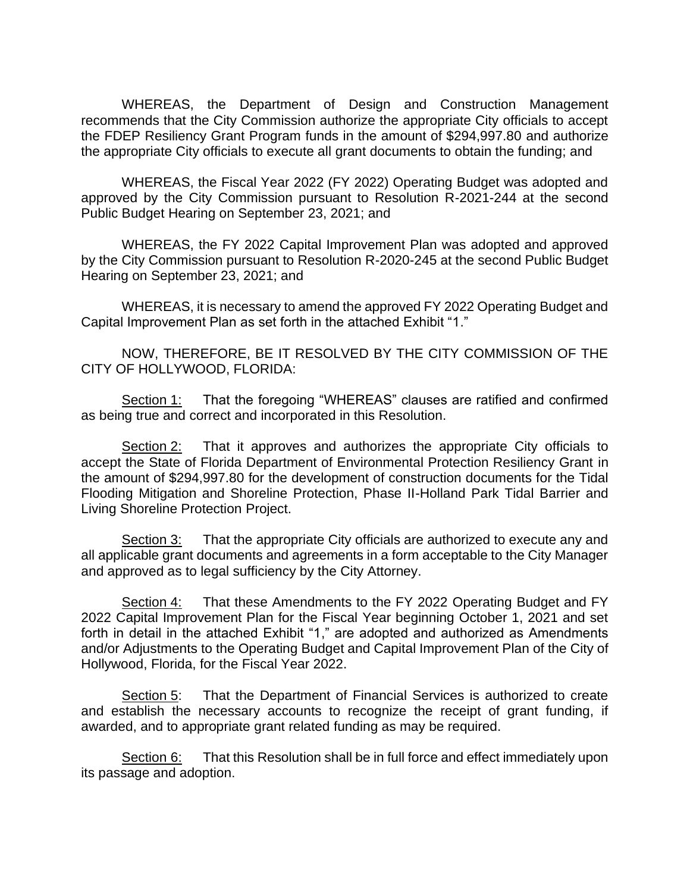WHEREAS, the Department of Design and Construction Management recommends that the City Commission authorize the appropriate City officials to accept the FDEP Resiliency Grant Program funds in the amount of \$294,997.80 and authorize the appropriate City officials to execute all grant documents to obtain the funding; and

WHEREAS, the Fiscal Year 2022 (FY 2022) Operating Budget was adopted and approved by the City Commission pursuant to Resolution R-2021-244 at the second Public Budget Hearing on September 23, 2021; and

WHEREAS, the FY 2022 Capital Improvement Plan was adopted and approved by the City Commission pursuant to Resolution R-2020-245 at the second Public Budget Hearing on September 23, 2021; and

WHEREAS, it is necessary to amend the approved FY 2022 Operating Budget and Capital Improvement Plan as set forth in the attached Exhibit "1."

NOW, THEREFORE, BE IT RESOLVED BY THE CITY COMMISSION OF THE CITY OF HOLLYWOOD, FLORIDA:

Section 1: That the foregoing "WHEREAS" clauses are ratified and confirmed as being true and correct and incorporated in this Resolution.

Section 2: That it approves and authorizes the appropriate City officials to accept the State of Florida Department of Environmental Protection Resiliency Grant in the amount of \$294,997.80 for the development of construction documents for the Tidal Flooding Mitigation and Shoreline Protection, Phase II-Holland Park Tidal Barrier and Living Shoreline Protection Project.

Section 3: That the appropriate City officials are authorized to execute any and all applicable grant documents and agreements in a form acceptable to the City Manager and approved as to legal sufficiency by the City Attorney.

Section 4: That these Amendments to the FY 2022 Operating Budget and FY 2022 Capital Improvement Plan for the Fiscal Year beginning October 1, 2021 and set forth in detail in the attached Exhibit "1," are adopted and authorized as Amendments and/or Adjustments to the Operating Budget and Capital Improvement Plan of the City of Hollywood, Florida, for the Fiscal Year 2022.

Section 5: That the Department of Financial Services is authorized to create and establish the necessary accounts to recognize the receipt of grant funding, if awarded, and to appropriate grant related funding as may be required.

Section 6: That this Resolution shall be in full force and effect immediately upon its passage and adoption.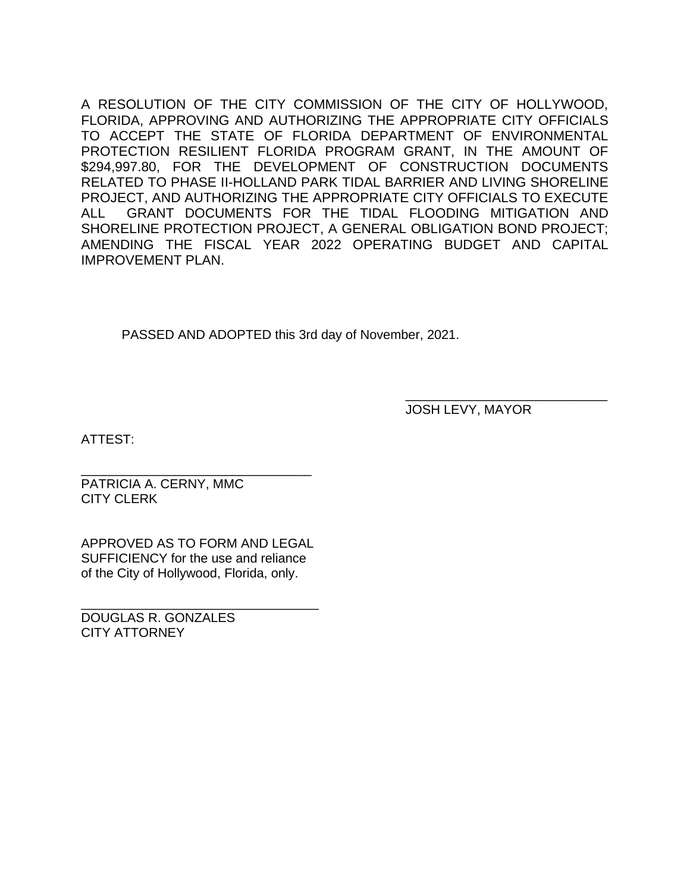A RESOLUTION OF THE CITY COMMISSION OF THE CITY OF HOLLYWOOD, FLORIDA, APPROVING AND AUTHORIZING THE APPROPRIATE CITY OFFICIALS TO ACCEPT THE STATE OF FLORIDA DEPARTMENT OF ENVIRONMENTAL PROTECTION RESILIENT FLORIDA PROGRAM GRANT, IN THE AMOUNT OF \$294,997.80, FOR THE DEVELOPMENT OF CONSTRUCTION DOCUMENTS RELATED TO PHASE II-HOLLAND PARK TIDAL BARRIER AND LIVING SHORELINE PROJECT, AND AUTHORIZING THE APPROPRIATE CITY OFFICIALS TO EXECUTE ALL GRANT DOCUMENTS FOR THE TIDAL FLOODING MITIGATION AND SHORELINE PROTECTION PROJECT, A GENERAL OBLIGATION BOND PROJECT; AMENDING THE FISCAL YEAR 2022 OPERATING BUDGET AND CAPITAL IMPROVEMENT PLAN.

PASSED AND ADOPTED this 3rd day of November, 2021.

JOSH LEVY, MAYOR

\_\_\_\_\_\_\_\_\_\_\_\_\_\_\_\_\_\_\_\_\_\_\_\_\_\_\_\_

ATTEST:

\_\_\_\_\_\_\_\_\_\_\_\_\_\_\_\_\_\_\_\_\_\_\_\_\_\_\_\_\_\_\_\_ PATRICIA A. CERNY, MMC CITY CLERK

APPROVED AS TO FORM AND LEGAL SUFFICIENCY for the use and reliance of the City of Hollywood, Florida, only.

\_\_\_\_\_\_\_\_\_\_\_\_\_\_\_\_\_\_\_\_\_\_\_\_\_\_\_\_\_\_\_\_\_ DOUGLAS R. GONZALES CITY ATTORNEY